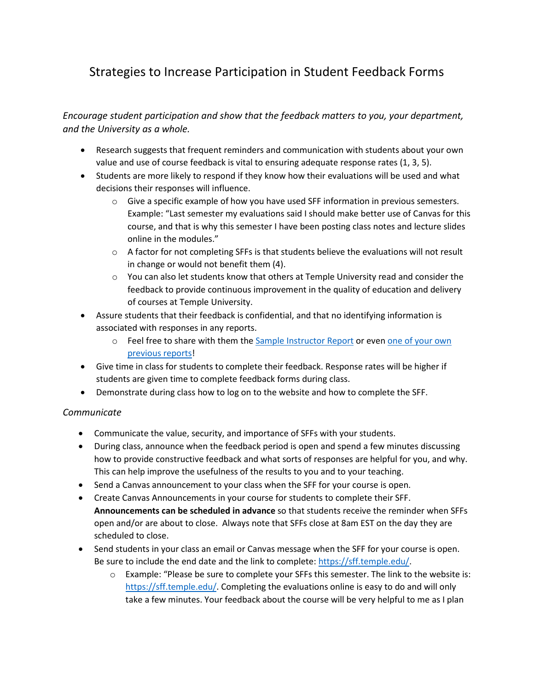## Strategies to Increase Participation in Student Feedback Forms

*Encourage student participation and show that the feedback matters to you, your department, and the University as a whole.*

- Research suggests that frequent reminders and communication with students about your own value and use of course feedback is vital to ensuring adequate response rates (1, 3, 5).
- Students are more likely to respond if they know how their evaluations will be used and what decisions their responses will influence.
	- o Give a specific example of how you have used SFF information in previous semesters. Example: "Last semester my evaluations said I should make better use of Canvas for this course, and that is why this semester I have been posting class notes and lecture slides online in the modules."
	- $\circ$  A factor for not completing SFFs is that students believe the evaluations will not result in change or would not benefit them (4).
	- o You can also let students know that others at Temple University read and consider the feedback to provide continuous improvement in the quality of education and delivery of courses at Temple University.
- Assure students that their feedback is confidential, and that no identifying information is associated with responses in any reports.
	- o Feel free to share with them the [Sample Instructor Report](https://www.temple.edu/ira/documents/assessment/student-feedback-forms/sample%20instructor%20report%20for%20instructor%209.24.2020.pdf) or eve[n one of your own](https://sff.temple.edu/admin/Default.aspx)  [previous reports!](https://sff.temple.edu/admin/Default.aspx)
- Give time in class for students to complete their feedback. Response rates will be higher if students are given time to complete feedback forms during class.
- Demonstrate during class how to log on to the website and how to complete the SFF.

## *Communicate*

- Communicate the value, security, and importance of SFFs with your students.
- During class, announce when the feedback period is open and spend a few minutes discussing how to provide constructive feedback and what sorts of responses are helpful for you, and why. This can help improve the usefulness of the results to you and to your teaching.
- Send a Canvas announcement to your class when the SFF for your course is open.
- Create Canvas Announcements in your course for students to complete their SFF. **Announcements can be scheduled in advance** so that students receive the reminder when SFFs open and/or are about to close. Always note that SFFs close at 8am EST on the day they are scheduled to close.
- Send students in your class an email or Canvas message when the SFF for your course is open. Be sure to include the end date and the link to complete: [https://sff.temple.edu/.](https://sff.temple.edu/)
	- $\circ$  Example: "Please be sure to complete your SFFs this semester. The link to the website is: [https://sff.temple.edu/.](https://sff.temple.edu/) Completing the evaluations online is easy to do and will only take a few minutes. Your feedback about the course will be very helpful to me as I plan